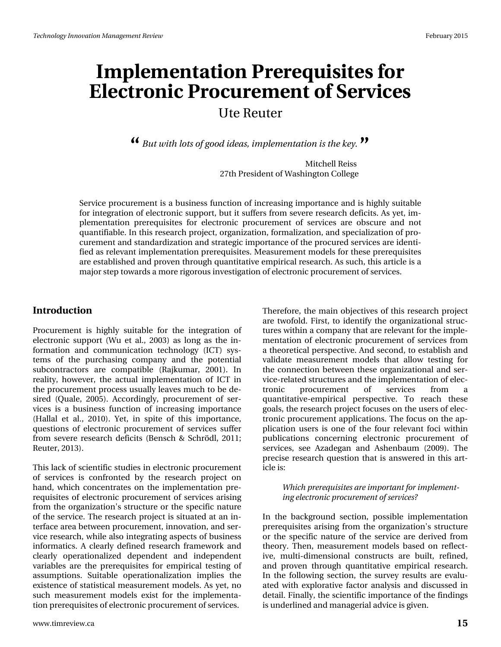### Ute Reuter

*But with lots of good ideas, implementation is the key.* **" "**

Mitchell Reiss 27th President of Washington College

Service procurement is a business function of increasing importance and is highly suitable for integration of electronic support, but it suffers from severe research deficits. As yet, implementation prerequisites for electronic procurement of services are obscure and not quantifiable. In this research project, organization, formalization, and specialization of procurement and standardization and strategic importance of the procured services are identified as relevant implementation prerequisites. Measurement models for these prerequisites are established and proven through quantitative empirical research. As such, this article is a major step towards a more rigorous investigation of electronic procurement of services.

#### **Introduction**

Procurement is highly suitable for the integration of electronic support (Wu et al., 2003) as long as the information and communication technology (ICT) systems of the purchasing company and the potential subcontractors are compatible (Rajkumar, 2001). In reality, however, the actual implementation of ICT in the procurement process usually leaves much to be desired (Quale, 2005). Accordingly, procurement of services is a business function of increasing importance (Hallal et al., 2010). Yet, in spite of this importance, questions of electronic procurement of services suffer from severe research deficits (Bensch & Schrödl, 2011; Reuter, 2013).

This lack of scientific studies in electronic procurement of services is confronted by the research project on hand, which concentrates on the implementation prerequisites of electronic procurement of services arising from the organization's structure or the specific nature of the service. The research project is situated at an interface area between procurement, innovation, and service research, while also integrating aspects of business informatics. A clearly defined research framework and clearly operationalized dependent and independent variables are the prerequisites for empirical testing of assumptions. Suitable operationalization implies the existence of statistical measurement models. As yet, no such measurement models exist for the implementation prerequisites of electronic procurement of services.

Therefore, the main objectives of this research project are twofold. First, to identify the organizational structures within a company that are relevant for the implementation of electronic procurement of services from a theoretical perspective. And second, to establish and validate measurement models that allow testing for the connection between these organizational and service-related structures and the implementation of electronic procurement of services from a quantitative-empirical perspective. To reach these goals, the research project focuses on the users of electronic procurement applications. The focus on the application users is one of the four relevant foci within publications concerning electronic procurement of services, see Azadegan and Ashenbaum (2009). The precise research question that is answered in this article is:

#### *Which prerequisites are important for implementing electronic procurement of services?*

In the background section, possible implementation prerequisites arising from the organization's structure or the specific nature of the service are derived from theory. Then, measurement models based on reflective, multi-dimensional constructs are built, refined, and proven through quantitative empirical research. In the following section, the survey results are evaluated with explorative factor analysis and discussed in detail. Finally, the scientific importance of the findings is underlined and managerial advice is given.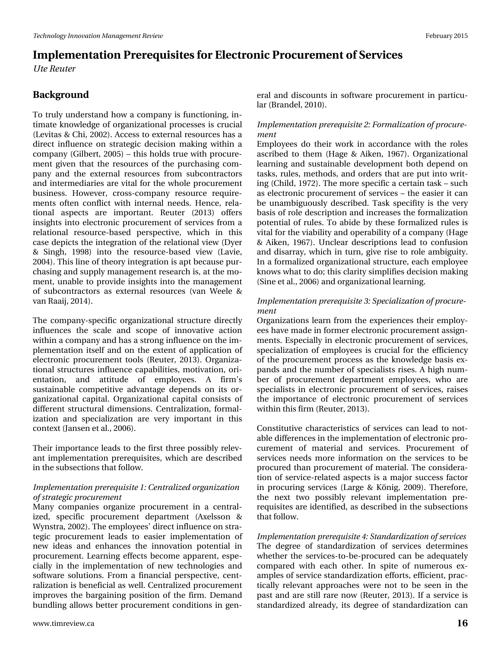*Ute Reuter*

### **Background**

To truly understand how a company is functioning, intimate knowledge of organizational processes is crucial (Levitas & Chi, 2002). Access to external resources has a direct influence on strategic decision making within a company (Gilbert, 2005) – this holds true with procurement given that the resources of the purchasing company and the external resources from subcontractors and intermediaries are vital for the whole procurement business. However, cross-company resource requirements often conflict with internal needs. Hence, relational aspects are important. Reuter (2013) offers insights into electronic procurement of services from a relational resource-based perspective, which in this case depicts the integration of the relational view (Dyer & Singh, 1998) into the resource-based view (Lavie, 2004). This line of theory integration is apt because purchasing and supply management research is, at the moment, unable to provide insights into the management of subcontractors as external resources (van Weele & van Raaij, 2014).

The company-specific organizational structure directly influences the scale and scope of innovative action within a company and has a strong influence on the implementation itself and on the extent of application of electronic procurement tools (Reuter, 2013). Organizational structures influence capabilities, motivation, orientation, and attitude of employees. A firm's sustainable competitive advantage depends on its organizational capital. Organizational capital consists of different structural dimensions. Centralization, formalization and specialization are very important in this context (Jansen et al., 2006).

Their importance leads to the first three possibly relevant implementation prerequisites, which are described in the subsections that follow.

#### *Implementation prerequisite 1: Centralized organization of strategic procurement*

Many companies organize procurement in a centralized, specific procurement department (Axelsson & Wynstra, 2002). The employees' direct influence on strategic procurement leads to easier implementation of new ideas and enhances the innovation potential in procurement. Learning effects become apparent, especially in the implementation of new technologies and software solutions. From a financial perspective, centralization is beneficial as well. Centralized procurement improves the bargaining position of the firm. Demand bundling allows better procurement conditions in gen-

#### *Implementation prerequisite 2: Formalization of procurement*

Employees do their work in accordance with the roles ascribed to them (Hage & Aiken, 1967). Organizational learning and sustainable development both depend on tasks, rules, methods, and orders that are put into writing (Child, 1972). The more specific a certain task – such as electronic procurement of services – the easier it can be unambiguously described. Task specifity is the very basis of role description and increases the formalization potential of rules. To abide by these formalized rules is vital for the viability and operability of a company (Hage & Aiken, 1967). Unclear descriptions lead to confusion and disarray, which in turn, give rise to role ambiguity. In a formalized organizational structure, each employee knows what to do; this clarity simplifies decision making (Sine et al., 2006) and organizational learning.

#### *Implementation prerequisite 3: Specialization of procurement*

Organizations learn from the experiences their employees have made in former electronic procurement assignments. Especially in electronic procurement of services, specialization of employees is crucial for the efficiency of the procurement process as the knowledge basis expands and the number of specialists rises. A high number of procurement department employees, who are specialists in electronic procurement of services, raises the importance of electronic procurement of services within this firm (Reuter, 2013).

Constitutive characteristics of services can lead to notable differences in the implementation of electronic procurement of material and services. Procurement of services needs more information on the services to be procured than procurement of material. The consideration of service-related aspects is a major success factor in procuring services (Large & König, 2009). Therefore, the next two possibly relevant implementation prerequisites are identified, as described in the subsections that follow.

*Implementation prerequisite 4: Standardization of services* The degree of standardization of services determines whether the services-to-be-procured can be adequately compared with each other. In spite of numerous examples of service standardization efforts, efficient, practically relevant approaches were not to be seen in the past and are still rare now (Reuter, 2013). If a service is standardized already, its degree of standardization can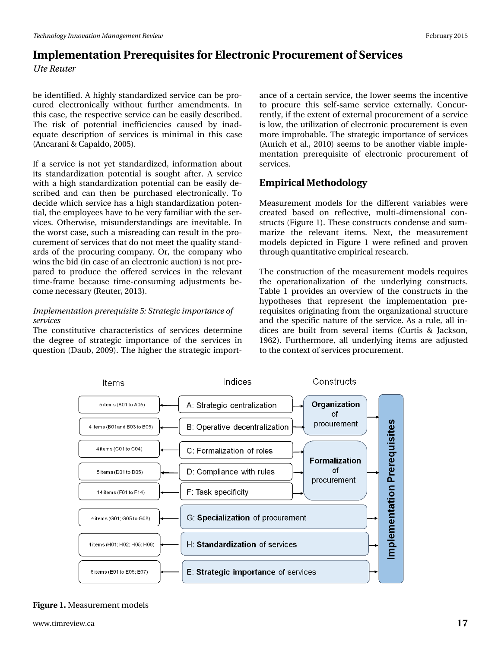*Ute Reuter*

be identified. A highly standardized service can be procured electronically without further amendments. In this case, the respective service can be easily described. The risk of potential inefficiencies caused by inadequate description of services is minimal in this case (Ancarani & Capaldo, 2005).

If a service is not yet standardized, information about its standardization potential is sought after. A service with a high standardization potential can be easily described and can then be purchased electronically. To decide which service has a high standardization potential, the employees have to be very familiar with the services. Otherwise, misunderstandings are inevitable. In the worst case, such a misreading can result in the procurement of services that do not meet the quality standards of the procuring company. Or, the company who wins the bid (in case of an electronic auction) is not prepared to produce the offered services in the relevant time-frame because time-consuming adjustments become necessary (Reuter, 2013).

#### *Implementation prerequisite 5: Strategic importance of services*

The constitutive characteristics of services determine the degree of strategic importance of the services in question (Daub, 2009). The higher the strategic import-

ance of a certain service, the lower seems the incentive to procure this self-same service externally. Concurrently, if the extent of external procurement of a service is low, the utilization of electronic procurement is even more improbable. The strategic importance of services (Aurich et al., 2010) seems to be another viable implementation prerequisite of electronic procurement of services.

### **Empirical Methodology**

Measurement models for the different variables were created based on reflective, multi-dimensional constructs (Figure 1). These constructs condense and summarize the relevant items. Next, the measurement models depicted in Figure 1 were refined and proven through quantitative empirical research.

The construction of the measurement models requires the operationalization of the underlying constructs. Table 1 provides an overview of the constructs in the hypotheses that represent the implementation prerequisites originating from the organizational structure and the specific nature of the service. As a rule, all indices are built from several items (Curtis & Jackson, 1962). Furthermore, all underlying items are adjusted to the context of services procurement.



#### **Figure 1.** Measurement models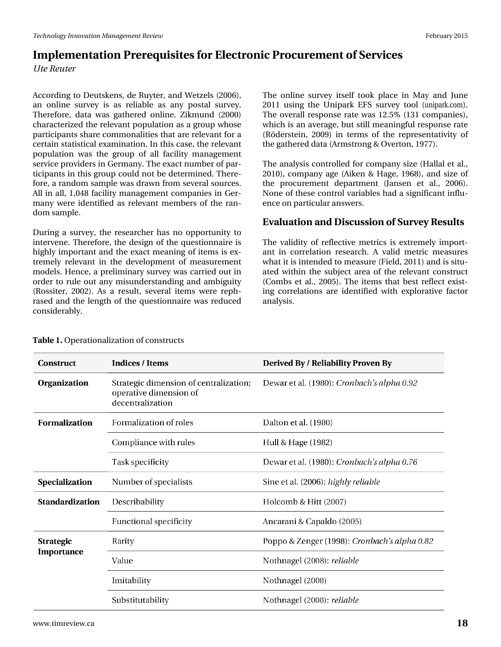# Lp sohp have what a thigh which it with the solphy of the song that we can be a solphy of he X vh#Uhx vhu

Dffruglgi#wr#Ghxwnhqv/#gh#Ux| whu/#dqg#Zhw\hov#+5339,/# dq#r qdqh#vx uyh|#lv#dv#uhddedn#dv#dq|#sr wdd#vx uyh|1# With uh/#gdwd#z dv#j dwkhuhg#r qdqh#J Inp xqg#+5333,# fkdudfwhul}hg#wkh#uhdhydqw#srsxodwlrq#dv#d#jurxs#zkrvh# s duw'f Is dqw#vk duh# r p p r qddwlhv#wk dw#duh#uhdnydqw#ru#d# f huvdlq#wdwwwfddh{dplqdwlrq#Lq#wklv#dvh/#wkh#uhdnydqw# sr sxodwr q#z dv#wk h#jurxs#ri#doo#idflolw|#p dqdj hp hqw# whuy if h#s uryight w#q#J hup dq|1#Wkh#h{dfw#qxpehu#i#sdu0 wflsdqw#q#wklv#urxs#frxoq#qrw#eh#ghwhuplqhg1#Wkhuh0 ir uh/#d#udggrp #vdp soh#z dv#gudz g# urp #vhyhudo#vrx uf hv# Doc#q#doc#4/37;# dflolw|#pdqdjhphqw#rpsdqlhv#lq#Jhu0 p dq|#z huh#lghqwilhg#dv#uhdhydqw#p hp ehuv#ri#wkh#udq0 grp#vdpsdn1

Gxulqj#d#vxuyh|/#wkh#uhvhdufkhu#kdv#qr#rssruwxqlw|#wr# lqwhuyhqht#Nkhuhiruh/#wkh#ghvljq#ri#wkh#xhvwlrqqdluh#v# kljkoj#psruwdqw#dqg#wkh#h{dfw#phdqlqj#ri#lwhpv#lv#h{0 whp hd #uhdhydqw#q#wkh#ghyhorsp hqw#ri#p hdvxuhp hqw# p r gho/#K hqf h/#d#suhdp lqdu #xxuyh| #z dv# duulhg# xw#q# rughu#wr#uxdn#rxw#dq|#plvxqghuwdqglqj#dqg#dpeljxlw|# +Ur vvlvhu/#5335,1#Dv#d#uhvxow#vhyhudo#lvhp v#z huh#uhsk0 udvhg#dqg#wkh#ohqjwk#ri#wkh#txhvwlrqqdluh#zdv#uhgxfhg# fr gvighuded 1

Wole ch#1 #Rshudwirgdol } dwirg#i#frgwuxfw

Wikh#rqdqh#vxuyh|#lwhoi#wrrn#sodfh#lq#Pd|#dqg#Nxtqh# 5344#xvlqj#wkh#Xqlsdun#HlV#vxuyh|#wrro#+xqlsdunfrp,# Wikh#ryhudoc#uhvsrqvh#udvh#zdv#4518(#4464#rpsdqlhv,/# z klfk#v#dq#dyhudjh/#exw#wwloo#phdqlqjixo#uhvsrqvh#udwh# +U1/ghuwhlq/#533<,#lq#whup v#ri#wkh#uhsuhvhqwdwlylw|#ri# wk h# dwk huhg#gdwd#Dup wwr qj # #Ryhuwr q/#4<::,1

Wikh#dqddylv#frqwuroong#fru#frpsdq|#vl}h#HKdoodd#hw#dd/# 5343,/#frpsdq|#djh#HDInhq#)#Kdjh/#4<9;,/#dqg#vl}h#ri# wkh#surfxuhphqw#ghsduwphqw#+Mdqvhq#hw#do1/#5339,1# Qrqh#i#wkhvh#frqwurc#yduldeohv#kdg#d#vljqlilfdqw#qiox0 hqf h#q#sduwf xodu#dqvz huv1

Hydox dw'r g#dgg#Glvf x wlr g#i#Vx uyh|#Uhvx ow

Wkh#ydolglw|#ri#Uniohfwlyh#phwulfv#lv#h{wuhpho|#lpsruw0 dqw#lq#fruuhodwlrq#uhvhdufk#D#yddg#phwulf#phdvxuhv# z kdw#w#v#qwhqqhg#w #p hdvxuh#Hlhog/#5344,#dqg#v#vlwx0 dwhg#zlwklq#wkh#vxerhfw#duhd#ri#wkh#uhdhydqw#frqvwuxfw# +Frp ev#nw#do1/#5338,14Nkh#lwhp v#wkdw#ehvv#uhidnfw#h{lw0 lqj#fruuhodwlrqv#duh#lghqwlilhg#zlwk#h{sorudwlyh#idfwru# dqdd vlv1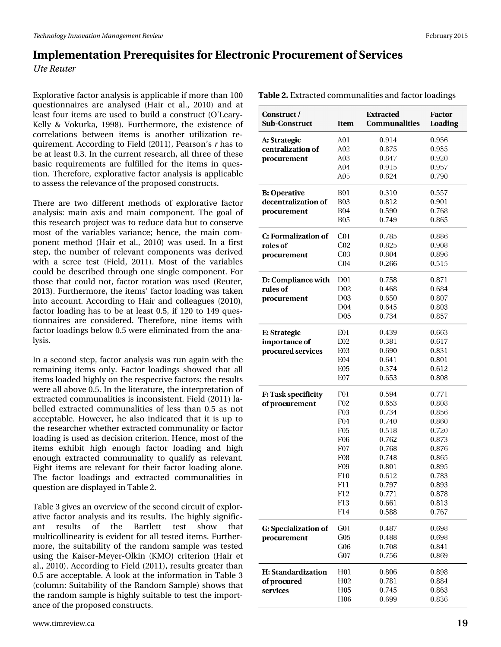*Ute Reuter*

Explorative factor analysis is applicable if more than 100 questionnaires are analysed (Hair et al., 2010) and at least four items are used to build a construct (O'Leary-Kelly & Vokurka, 1998). Furthermore, the existence of correlations between items is another utilization requirement. According to Field (2011), Pearson's *r* has to be at least 0.3. In the current research, all three of these basic requirements are fulfilled for the items in question. Therefore, explorative factor analysis is applicable to assess the relevance of the proposed constructs.

There are two different methods of explorative factor analysis: main axis and main component. The goal of this research project was to reduce data but to conserve most of the variables variance; hence, the main component method (Hair et al., 2010) was used. In a first step, the number of relevant components was derived with a scree test (Field, 2011). Most of the variables could be described through one single component. For those that could not, factor rotation was used (Reuter, 2013). Furthermore, the items' factor loading was taken into account. According to Hair and colleagues (2010), factor loading has to be at least 0.5, if 120 to 149 questionnaires are considered. Therefore, nine items with factor loadings below 0.5 were eliminated from the analysis.

In a second step, factor analysis was run again with the remaining items only. Factor loadings showed that all items loaded highly on the respective factors: the results were all above 0.5. In the literature, the interpretation of extracted communalities is inconsistent. Field (2011) labelled extracted communalities of less than 0.5 as not acceptable. However, he also indicated that it is up to the researcher whether extracted communality or factor loading is used as decision criterion. Hence, most of the items exhibit high enough factor loading and high enough extracted communality to qualify as relevant. Eight items are relevant for their factor loading alone. The factor loadings and extracted communalities in question are displayed in Table 2.

Table 3 gives an overview of the second circuit of explorative factor analysis and its results. The highly significant results of the Bartlett test show that multicollinearity is evident for all tested items. Furthermore, the suitability of the random sample was tested using the Kaiser-Meyer-Olkin (KMO) criterion (Hair et al., 2010). According to Field (2011), results greater than 0.5 are acceptable. A look at the information in Table 3 (column: Suitability of the Random Sample) shows that the random sample is highly suitable to test the importance of the proposed constructs.

| Construct /<br><b>Sub-Construct</b> | Item             | <b>Extracted</b><br><b>Communalities</b> | Factor<br>Loading |  |
|-------------------------------------|------------------|------------------------------------------|-------------------|--|
|                                     |                  |                                          |                   |  |
| A: Strategic<br>centralization of   | A01<br>A02       | 0.914<br>0.875                           | 0.956             |  |
|                                     | A03              | 0.847                                    | 0.935             |  |
| procurement                         | A04              | 0.915                                    | 0.920<br>0.957    |  |
|                                     | A05              | 0.624                                    | 0.790             |  |
|                                     |                  |                                          |                   |  |
| <b>B: Operative</b>                 | <b>B01</b>       | 0.310                                    | 0.557             |  |
| decentralization of                 | <b>B03</b>       | 0.812                                    | 0.901             |  |
| procurement                         | <b>B04</b>       | 0.590                                    | 0.768             |  |
|                                     | <b>B05</b>       | 0.749                                    | 0.865             |  |
| C: Formalization of                 | C <sub>01</sub>  | 0.785                                    | 0.886             |  |
| roles of                            | C <sub>02</sub>  | 0.825                                    | 0.908             |  |
| procurement                         | C <sub>03</sub>  | 0.804                                    | 0.896             |  |
|                                     | C <sub>04</sub>  | 0.266                                    | 0.515             |  |
| D: Compliance with                  | D <sub>0</sub> 1 | 0.758                                    | 0.871             |  |
| rules of                            | D <sub>0</sub> 2 | 0.468                                    | 0.684             |  |
| procurement                         | D <sub>03</sub>  | 0.650                                    | 0.807             |  |
|                                     | D <sub>04</sub>  | 0.645                                    | 0.803             |  |
|                                     | D <sub>05</sub>  | 0.734                                    | 0.857             |  |
| E: Strategic                        | <b>E01</b>       | 0.439                                    | 0.663             |  |
| importance of                       | E02              | 0.381                                    | 0.617             |  |
| procured services                   | E <sub>03</sub>  | 0.690                                    | 0.831             |  |
|                                     | E <sub>04</sub>  | 0.641                                    | $_{0.801}$        |  |
|                                     | <b>E05</b>       | 0.374                                    | 0.612             |  |
|                                     | E <sub>07</sub>  | 0.653                                    | 0.808             |  |
| F: Task specificity                 | F01              | 0.594                                    | 0.771             |  |
| of procurement                      | F <sub>02</sub>  | 0.653                                    | 0.808             |  |
|                                     | F <sub>03</sub>  | 0.734                                    | 0.856             |  |
|                                     | F04              | 0.740                                    | 0.860             |  |
|                                     | F <sub>05</sub>  | 0.518                                    | 0.720             |  |
|                                     | F <sub>06</sub>  | 0.762                                    | 0.873             |  |
|                                     | F07              | 0.768                                    | 0.876             |  |
|                                     | F <sub>08</sub>  | 0.748                                    | 0.865             |  |
|                                     | F <sub>09</sub>  | 0.801                                    | 0.895             |  |
|                                     | F10              | 0.612                                    | 0.783             |  |
|                                     | F11              | 0.797                                    | 0.893             |  |
|                                     | F12              | 0.771                                    | 0.878             |  |
|                                     | F13              | 0.661                                    | 0.813             |  |
|                                     | F14              | 0.588                                    | 0.767             |  |
| G: Specialization of                | G <sub>0</sub> 1 | 0.487                                    | 0.698             |  |
| procurement                         | G05              | 0.488                                    | 0.698             |  |
|                                     | G <sub>06</sub>  | 0.708                                    | 0.841             |  |
|                                     | $G_{07}$         | 0.756                                    | 0.869             |  |
| H: Standardization                  | H <sub>01</sub>  | 0.806                                    | 0.898             |  |
| of procured                         | H <sub>0</sub> 2 | 0.781                                    | 0.884             |  |
| services                            | H <sub>05</sub>  | 0.745                                    | 0.863             |  |

H<sub>06</sub>

0.699

**Table 2.** Extracted communalities and factor loadings

0.836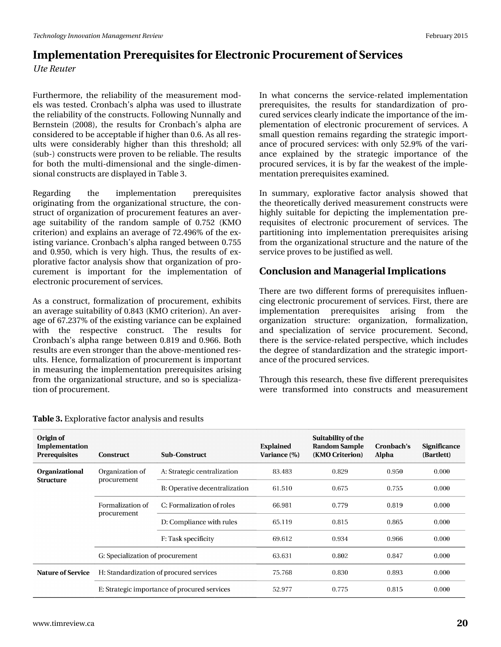*Ute Reuter*

Furthermore, the reliability of the measurement models was tested. Cronbach's alpha was used to illustrate the reliability of the constructs. Following Nunnally and Bernstein (2008), the results for Cronbach's alpha are considered to be acceptable if higher than 0.6. As all results were considerably higher than this threshold; all (sub-) constructs were proven to be reliable. The results for both the multi-dimensional and the single-dimensional constructs are displayed in Table 3.

Regarding the implementation prerequisites originating from the organizational structure, the construct of organization of procurement features an average suitability of the random sample of 0.752 (KMO criterion) and explains an average of 72.496% of the existing variance. Cronbach's alpha ranged between 0.755 and 0.950, which is very high. Thus, the results of explorative factor analysis show that organization of procurement is important for the implementation of electronic procurement of services.

As a construct, formalization of procurement, exhibits an average suitability of 0.843 (KMO criterion). An average of 67.237% of the existing variance can be explained with the respective construct. The results for Cronbach's alpha range between 0.819 and 0.966. Both results are even stronger than the above-mentioned results. Hence, formalization of procurement is important in measuring the implementation prerequisites arising from the organizational structure, and so is specialization of procurement.

In what concerns the service-related implementation prerequisites, the results for standardization of procured services clearly indicate the importance of the implementation of electronic procurement of services. A small question remains regarding the strategic importance of procured services: with only 52.9% of the variance explained by the strategic importance of the procured services, it is by far the weakest of the implementation prerequisites examined.

In summary, explorative factor analysis showed that the theoretically derived measurement constructs were highly suitable for depicting the implementation prerequisites of electronic procurement of services. The partitioning into implementation prerequisites arising from the organizational structure and the nature of the service proves to be justified as well.

### **Conclusion and Managerial Implications**

There are two different forms of prerequisites influencing electronic procurement of services. First, there are implementation prerequisites arising from the organization structure: organization, formalization, and specialization of service procurement. Second, there is the service-related perspective, which includes the degree of standardization and the strategic importance of the procured services.

Through this research, these five different prerequisites were transformed into constructs and measurement

| Origin of<br>Implementation<br><b>Prerequisites</b> | <b>Construct</b>                             | <b>Sub-Construct</b>          | <b>Explained</b><br>Variance (%) | Suitability of the<br><b>Random Sample</b><br>(KMO Criterion) | Cronbach's<br>Alpha | <b>Significance</b><br>(Bartlett) |
|-----------------------------------------------------|----------------------------------------------|-------------------------------|----------------------------------|---------------------------------------------------------------|---------------------|-----------------------------------|
| <b>Organizational</b><br><b>Structure</b>           | Organization of<br>procurement               | A: Strategic centralization   | 83.483                           | 0.829                                                         | 0.950               | 0.000                             |
|                                                     |                                              | B: Operative decentralization | 61.510                           | 0.675                                                         | 0.755               | 0.000                             |
|                                                     | Formalization of<br>procurement              | C: Formalization of roles     | 66.981                           | 0.779                                                         | 0.819               | 0.000                             |
|                                                     |                                              | D: Compliance with rules      | 65.119                           | 0.815                                                         | 0.865               | 0.000                             |
|                                                     |                                              | F: Task specificity           | 69.612                           | 0.934                                                         | 0.966               | 0.000                             |
|                                                     | G: Specialization of procurement             |                               | 63.631                           | 0.802                                                         | 0.847               | 0.000                             |
| <b>Nature of Service</b>                            | H: Standardization of procured services      |                               | 75.768                           | 0.830                                                         | 0.893               | 0.000                             |
|                                                     | E: Strategic importance of procured services |                               | 52.977                           | 0.775                                                         | 0.815               | 0.000                             |

#### **Table 3.** Explorative factor analysis and results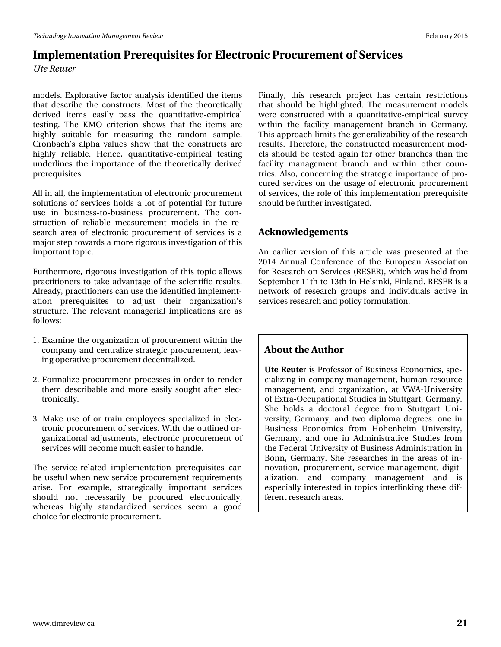*Ute Reuter*

models. Explorative factor analysis identified the items that describe the constructs. Most of the theoretically derived items easily pass the quantitative-empirical testing. The KMO criterion shows that the items are highly suitable for measuring the random sample. Cronbach's alpha values show that the constructs are highly reliable. Hence, quantitative-empirical testing underlines the importance of the theoretically derived prerequisites.

All in all, the implementation of electronic procurement solutions of services holds a lot of potential for future use in business-to-business procurement. The construction of reliable measurement models in the research area of electronic procurement of services is a major step towards a more rigorous investigation of this important topic.

Furthermore, rigorous investigation of this topic allows practitioners to take advantage of the scientific results. Already, practitioners can use the identified implementation prerequisites to adjust their organization's structure. The relevant managerial implications are as follows:

- 1. Examine the organization of procurement within the company and centralize strategic procurement, leaving operative procurement decentralized.
- 2. Formalize procurement processes in order to render them describable and more easily sought after electronically.
- 3. Make use of or train employees specialized in electronic procurement of services. With the outlined organizational adjustments, electronic procurement of services will become much easier to handle.

The service-related implementation prerequisites can be useful when new service procurement requirements arise. For example, strategically important services should not necessarily be procured electronically, whereas highly standardized services seem a good choice for electronic procurement.

Finally, this research project has certain restrictions that should be highlighted. The measurement models were constructed with a quantitative-empirical survey within the facility management branch in Germany. This approach limits the generalizability of the research results. Therefore, the constructed measurement models should be tested again for other branches than the facility management branch and within other countries. Also, concerning the strategic importance of procured services on the usage of electronic procurement of services, the role of this implementation prerequisite should be further investigated.

### **Acknowledgements**

An earlier version of this article was presented at the 2014 Annual Conference of the European Association for Research on Services (RESER), which was held from September 11th to 13th in Helsinki, Finland. RESER is a network of research groups and individuals active in services research and policy formulation.

### **About the Author**

**Ute Reute**r is Professor of Business Economics, specializing in company management, human resource management, and organization, at VWA-University of Extra-Occupational Studies in Stuttgart, Germany. She holds a doctoral degree from Stuttgart University, Germany, and two diploma degrees: one in Business Economics from Hohenheim University, Germany, and one in Administrative Studies from the Federal University of Business Administration in Bonn, Germany. She researches in the areas of innovation, procurement, service management, digitalization, and company management and is especially interested in topics interlinking these different research areas.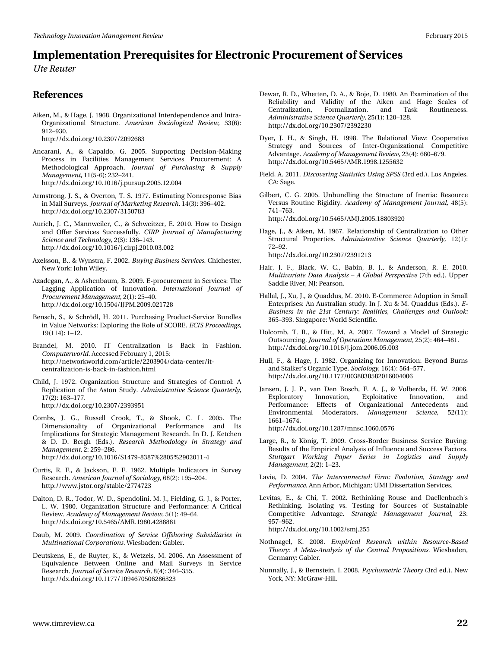*Ute Reuter*

#### **References**

Aiken, M., & Hage, J. 1968. Organizational Interdependence and Intra-Organizational Structure. *American Sociological Review,* 33(6): 912–930.

http://dx.doi.org/10.2307/2092683

- Ancarani, A., & Capaldo, G. 2005. Supporting Decision-Making Process in Facilities Management Services Procurement: A Methodological Approach. *Journal of Purchasing & Supply Management,* 11(5-6): 232–241. http://dx.doi.org/10.1016/j.pursup.2005.12.004
- Armstrong, J. S., & Overton, T. S. 1977. Estimating Nonresponse Bias in Mail Surveys. *Journal of Marketing Research,* 14(3): 396–402. http://dx.doi.org/10.2307/3150783
- Aurich, J. C., Mannweiler, C., & Schweitzer, E. 2010. How to Design and Offer Services Successfully. *CIRP Journal of Manufacturing Science and Technology,* 2(3): 136–143. http://dx.doi.org/10.1016/j.cirpj.2010.03.002
- Axelsson, B., & Wynstra, F. 2002. *Buying Business Services.* Chichester, New York: John Wiley.
- Azadegan, A., & Ashenbaum, B. 2009. E-procurement in Services: The Lagging Application of Innovation. *International Journal of Procurement Management,* 2(1): 25–40. http://dx.doi.org/10.1504/IJPM.2009.021728
- Bensch, S., & Schrödl, H. 2011. Purchasing Product-Service Bundles in Value Networks: Exploring the Role of SCORE. *ECIS Proceedings,* 19(114): 1–12.
- Brandel, M. 2010. IT Centralization is Back in Fashion. *Computerworld.* Accessed February 1, 2015: http://networkworld.com/article/2203904/data-center/itcentralization-is-back-in-fashion.html
- Child, J. 1972. Organization Structure and Strategies of Control: A Replication of the Aston Study. *Administrative Science Quarterly,* 17(2): 163–177. http://dx.doi.org/10.2307/2393951
- Combs, J. G., Russell Crook, T., & Shook, C. L. 2005. The Dimensionality of Organizational Performance and Its Implications for Strategic Management Research. In D. J. Ketchen & D. D. Bergh (Eds.), *Research Methodology in Strategy and Management,* 2: 259–286. http://dx.doi.org/10.1016/S1479-8387%2805%2902011-4
- Curtis, R. F., & Jackson, E. F. 1962. Multiple Indicators in Survey Research. *American Journal of Sociology,* 68(2): 195–204. http://www.jstor.org/stable/2774723
- Dalton, D. R., Todor, W. D., Spendolini, M. J., Fielding, G. J., & Porter, L. W. 1980. Organization Structure and Performance: A Critical Review. *Academy of Management Review,* 5(1): 49–64. http://dx.doi.org/10.5465/AMR.1980.4288881
- Daub, M. 2009. *Coordination of Service Offshoring Subsidiaries in Multinational Corporations.* Wiesbaden: Gabler.
- Deutskens, E., de Ruyter, K., & Wetzels, M. 2006. An Assessment of Equivalence Between Online and Mail Surveys in Service Research. *Journal of Service Research,* 8(4): 346–355. http://dx.doi.org/10.1177/1094670506286323
- Dewar, R. D., Whetten, D. A., & Boje, D. 1980. An Examination of the Reliability and Validity of the Aiken and Hage Scales of Centralization, Formalization, and Task Routineness. *Administrative Science Quarterly,* 25(1): 120–128. http://dx.doi.org/10.2307/2392230
- Dyer, J. H., & Singh, H. 1998. The Relational View: Cooperative Strategy and Sources of Inter-Organizational Competitive Advantage. *Academy of Management Review,* 23(4): 660–679. http://dx.doi.org/10.5465/AMR.1998.1255632
- Field, A. 2011. *Discovering Statistics Using SPSS* (3rd ed.). Los Angeles, CA: Sage.
- Gilbert, C. G. 2005. Unbundling the Structure of Inertia: Resource Versus Routine Rigidity. *Academy of Management Journal,* 48(5): 741–763. http://dx.doi.org/10.5465/AMJ.2005.18803920
- Hage, J., & Aiken, M. 1967. Relationship of Centralization to Other Structural Properties. *Administrative Science Quarterly,* 12(1):
	- 72–92. http://dx.doi.org/10.2307/2391213
- Hair, J. F., Black, W. C., Babin, B. J., & Anderson, R. E. 2010. *Multivariate Data Analysis – A Global Perspective* (7th ed.). Upper Saddle River, NJ: Pearson.
- Hallal, J., Xu, J., & Quaddus, M. 2010. E-Commerce Adoption in Small Enterprises: An Australian study. In J. Xu & M. Quaddus (Eds.), *E-Business in the 21st Century: Realities, Challenges and Outlook:* 365–393. Singapore: World Scientific.
- Holcomb, T. R., & Hitt, M. A. 2007. Toward a Model of Strategic Outsourcing. *Journal of Operations Management,* 25(2): 464–481. http://dx.doi.org/10.1016/j.jom.2006.05.003
- Hull, F., & Hage, J. 1982. Organizing for Innovation: Beyond Burns and Stalker's Organic Type. *Sociology,* 16(4): 564–577. http://dx.doi.org/10.1177/0038038582016004006
- Jansen, J. J. P., van Den Bosch, F. A. J., & Volberda, H. W. 2006. Exploratory Innovation, Exploitative Innovation, and Performance: Effects of Organizational Antecedents and Environmental Moderators. *Management Science,* 52(11): 1661–1674. http://dx.doi.org/10.1287/mnsc.1060.0576
- Large, R., & König, T. 2009. Cross-Border Business Service Buying: Results of the Empirical Analysis of Influence and Success Factors. *Stuttgart Working Paper Series in Logistics and Supply Management,* 2(2): 1–23.
- Lavie, D. 2004. *The Interconnected Firm: Evolution, Strategy and Performance.* Ann Arbor, Michigan: UMI Dissertation Services.
- Levitas, E., & Chi, T. 2002. Rethinking Rouse and Daellenbach's Rethinking. Isolating vs. Testing for Sources of Sustainable Competitive Advantage. *Strategic Management Journal,* 23: 957–962. http://dx.doi.org/10.1002/smj.255
- Nothnagel, K. 2008. *Empirical Research within Resource-Based Theory: A Meta-Analysis of the Central Propositions.* Wiesbaden, Germany: Gabler.
- Nunnally, J., & Bernstein, I. 2008. *Psychometric Theory* (3rd ed.). New York, NY: McGraw-Hill.